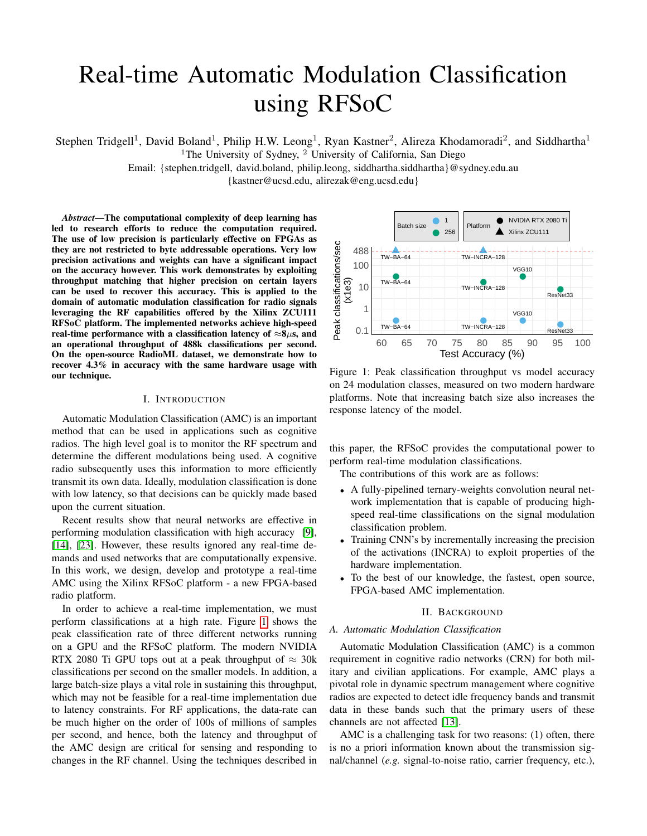# Real-time Automatic Modulation Classification using RFSoC

Stephen Tridgell<sup>1</sup>, David Boland<sup>1</sup>, Philip H.W. Leong<sup>1</sup>, Ryan Kastner<sup>2</sup>, Alireza Khodamoradi<sup>2</sup>, and Siddhartha<sup>1</sup>

<sup>1</sup>The University of Sydney,  $^2$  University of California, San Diego

Email: {stephen.tridgell, david.boland, philip.leong, siddhartha.siddhartha}@sydney.edu.au

{kastner@ucsd.edu, alirezak@eng.ucsd.edu}

*Abstract*—The computational complexity of deep learning has led to research efforts to reduce the computation required. The use of low precision is particularly effective on FPGAs as they are not restricted to byte addressable operations. Very low precision activations and weights can have a significant impact on the accuracy however. This work demonstrates by exploiting throughput matching that higher precision on certain layers can be used to recover this accuracy. This is applied to the domain of automatic modulation classification for radio signals leveraging the RF capabilities offered by the Xilinx ZCU111 RFSoC platform. The implemented networks achieve high-speed real-time performance with a classification latency of  $\approx 8 \mu s$ , and an operational throughput of 488k classifications per second. On the open-source RadioML dataset, we demonstrate how to recover 4.3% in accuracy with the same hardware usage with our technique.

## I. INTRODUCTION

Automatic Modulation Classification (AMC) is an important method that can be used in applications such as cognitive radios. The high level goal is to monitor the RF spectrum and determine the different modulations being used. A cognitive radio subsequently uses this information to more efficiently transmit its own data. Ideally, modulation classification is done with low latency, so that decisions can be quickly made based upon the current situation.

Recent results show that neural networks are effective in performing modulation classification with high accuracy [\[9\]](#page-7-0), [\[14\]](#page-7-1), [\[23\]](#page-7-2). However, these results ignored any real-time demands and used networks that are computationally expensive. In this work, we design, develop and prototype a real-time AMC using the Xilinx RFSoC platform - a new FPGA-based radio platform.

In order to achieve a real-time implementation, we must perform classifications at a high rate. Figure [1](#page-0-0) shows the peak classification rate of three different networks running on a GPU and the RFSoC platform. The modern NVIDIA RTX 2080 Ti GPU tops out at a peak throughput of  $\approx 30k$ classifications per second on the smaller models. In addition, a large batch-size plays a vital role in sustaining this throughput, which may not be feasible for a real-time implementation due to latency constraints. For RF applications, the data-rate can be much higher on the order of 100s of millions of samples per second, and hence, both the latency and throughput of the AMC design are critical for sensing and responding to changes in the RF channel. Using the techniques described in

<span id="page-0-0"></span>

Figure 1: Peak classification throughput vs model accuracy on 24 modulation classes, measured on two modern hardware platforms. Note that increasing batch size also increases the response latency of the model.

this paper, the RFSoC provides the computational power to perform real-time modulation classifications.

The contributions of this work are as follows:

- A fully-pipelined ternary-weights convolution neural network implementation that is capable of producing highspeed real-time classifications on the signal modulation classification problem.
- Training CNN's by incrementally increasing the precision of the activations (INCRA) to exploit properties of the hardware implementation.
- To the best of our knowledge, the fastest, open source, FPGA-based AMC implementation.

#### II. BACKGROUND

#### *A. Automatic Modulation Classification*

Automatic Modulation Classification (AMC) is a common requirement in cognitive radio networks (CRN) for both military and civilian applications. For example, AMC plays a pivotal role in dynamic spectrum management where cognitive radios are expected to detect idle frequency bands and transmit data in these bands such that the primary users of these channels are not affected [\[13\]](#page-7-3).

AMC is a challenging task for two reasons: (1) often, there is no a priori information known about the transmission signal/channel (*e.g.* signal-to-noise ratio, carrier frequency, etc.),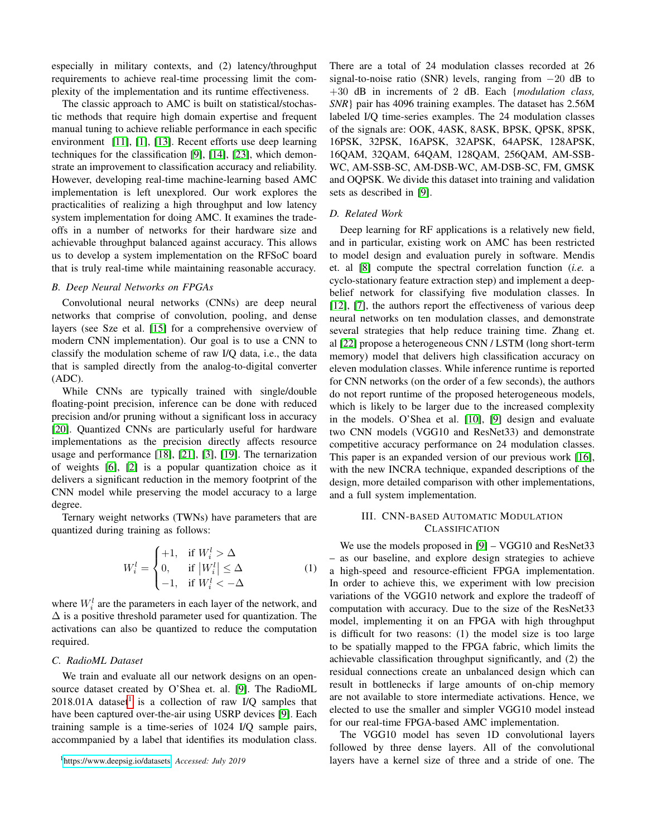especially in military contexts, and (2) latency/throughput requirements to achieve real-time processing limit the complexity of the implementation and its runtime effectiveness.

The classic approach to AMC is built on statistical/stochastic methods that require high domain expertise and frequent manual tuning to achieve reliable performance in each specific environment [\[11\]](#page-7-4), [\[1\]](#page-7-5), [\[13\]](#page-7-3). Recent efforts use deep learning techniques for the classification [\[9\]](#page-7-0), [\[14\]](#page-7-1), [\[23\]](#page-7-2), which demonstrate an improvement to classification accuracy and reliability. However, developing real-time machine-learning based AMC implementation is left unexplored. Our work explores the practicalities of realizing a high throughput and low latency system implementation for doing AMC. It examines the tradeoffs in a number of networks for their hardware size and achievable throughput balanced against accuracy. This allows us to develop a system implementation on the RFSoC board that is truly real-time while maintaining reasonable accuracy.

## *B. Deep Neural Networks on FPGAs*

Convolutional neural networks (CNNs) are deep neural networks that comprise of convolution, pooling, and dense layers (see Sze et al. [\[15\]](#page-7-6) for a comprehensive overview of modern CNN implementation). Our goal is to use a CNN to classify the modulation scheme of raw I/Q data, i.e., the data that is sampled directly from the analog-to-digital converter (ADC).

While CNNs are typically trained with single/double floating-point precision, inference can be done with reduced precision and/or pruning without a significant loss in accuracy [\[20\]](#page-7-7). Quantized CNNs are particularly useful for hardware implementations as the precision directly affects resource usage and performance [\[18\]](#page-7-8), [\[21\]](#page-7-9), [\[3\]](#page-7-10), [\[19\]](#page-7-11). The ternarization of weights [\[6\]](#page-7-12), [\[2\]](#page-7-13) is a popular quantization choice as it delivers a significant reduction in the memory footprint of the CNN model while preserving the model accuracy to a large degree.

Ternary weight networks (TWNs) have parameters that are quantized during training as follows:

$$
W_i^l = \begin{cases} +1, & \text{if } W_i^l > \Delta \\ 0, & \text{if } |W_i^l| \le \Delta \\ -1, & \text{if } W_i^l < -\Delta \end{cases} \tag{1}
$$

where  $W_i^l$  are the parameters in each layer of the network, and  $\Delta$  is a positive threshold parameter used for quantization. The activations can also be quantized to reduce the computation required.

## *C. RadioML Dataset*

We train and evaluate all our network designs on an opensource dataset created by O'Shea et. al. [\[9\]](#page-7-0). The RadioML  $2018.01$  $2018.01$  $2018.01$ A dataset<sup>1</sup> is a collection of raw I/Q samples that have been captured over-the-air using USRP devices [\[9\]](#page-7-0). Each training sample is a time-series of 1024 I/Q sample pairs, accommpanied by a label that identifies its modulation class.

<span id="page-1-0"></span><sup>1</sup>[https://www.deepsig.io/datasets,](https://www.deepsig.io/datasets) *Accessed: July 2019*

There are a total of 24 modulation classes recorded at 26 signal-to-noise ratio (SNR) levels, ranging from  $-20$  dB to +30 dB in increments of 2 dB. Each {*modulation class, SNR*} pair has 4096 training examples. The dataset has 2.56M labeled I/Q time-series examples. The 24 modulation classes of the signals are: OOK, 4ASK, 8ASK, BPSK, QPSK, 8PSK, 16PSK, 32PSK, 16APSK, 32APSK, 64APSK, 128APSK, 16QAM, 32QAM, 64QAM, 128QAM, 256QAM, AM-SSB-WC, AM-SSB-SC, AM-DSB-WC, AM-DSB-SC, FM, GMSK and OQPSK. We divide this dataset into training and validation sets as described in [\[9\]](#page-7-0).

#### *D. Related Work*

Deep learning for RF applications is a relatively new field, and in particular, existing work on AMC has been restricted to model design and evaluation purely in software. Mendis et. al [\[8\]](#page-7-14) compute the spectral correlation function (*i.e.* a cyclo-stationary feature extraction step) and implement a deepbelief network for classifying five modulation classes. In [\[12\]](#page-7-15), [\[7\]](#page-7-16), the authors report the effectiveness of various deep neural networks on ten modulation classes, and demonstrate several strategies that help reduce training time. Zhang et. al [\[22\]](#page-7-17) propose a heterogeneous CNN / LSTM (long short-term memory) model that delivers high classification accuracy on eleven modulation classes. While inference runtime is reported for CNN networks (on the order of a few seconds), the authors do not report runtime of the proposed heterogeneous models, which is likely to be larger due to the increased complexity in the models. O'Shea et al. [\[10\]](#page-7-18), [\[9\]](#page-7-0) design and evaluate two CNN models (VGG10 and ResNet33) and demonstrate competitive accuracy performance on 24 modulation classes. This paper is an expanded version of our previous work [\[16\]](#page-7-19), with the new INCRA technique, expanded descriptions of the design, more detailed comparison with other implementations, and a full system implementation.

## III. CNN-BASED AUTOMATIC MODULATION **CLASSIFICATION**

We use the models proposed in [\[9\]](#page-7-0) – VGG10 and ResNet33 – as our baseline, and explore design strategies to achieve a high-speed and resource-efficient FPGA implementation. In order to achieve this, we experiment with low precision variations of the VGG10 network and explore the tradeoff of computation with accuracy. Due to the size of the ResNet33 model, implementing it on an FPGA with high throughput is difficult for two reasons: (1) the model size is too large to be spatially mapped to the FPGA fabric, which limits the achievable classification throughput significantly, and (2) the residual connections create an unbalanced design which can result in bottlenecks if large amounts of on-chip memory are not available to store intermediate activations. Hence, we elected to use the smaller and simpler VGG10 model instead for our real-time FPGA-based AMC implementation.

The VGG10 model has seven 1D convolutional layers followed by three dense layers. All of the convolutional layers have a kernel size of three and a stride of one. The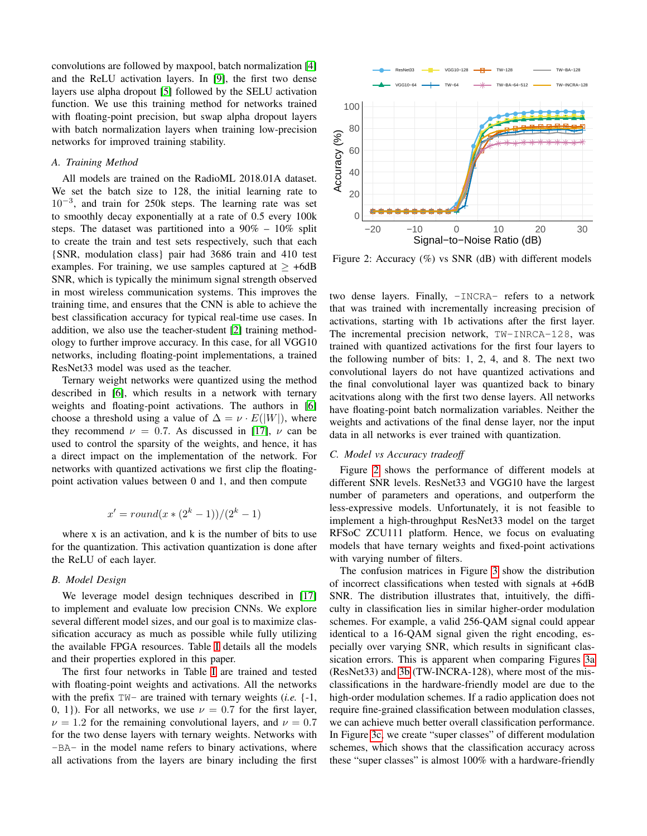convolutions are followed by maxpool, batch normalization [\[4\]](#page-7-20) and the ReLU activation layers. In [\[9\]](#page-7-0), the first two dense layers use alpha dropout [\[5\]](#page-7-21) followed by the SELU activation function. We use this training method for networks trained with floating-point precision, but swap alpha dropout layers with batch normalization layers when training low-precision networks for improved training stability.

#### *A. Training Method*

All models are trained on the RadioML 2018.01A dataset. We set the batch size to 128, the initial learning rate to 10−<sup>3</sup> , and train for 250k steps. The learning rate was set to smoothly decay exponentially at a rate of 0.5 every 100k steps. The dataset was partitioned into a 90% – 10% split to create the train and test sets respectively, such that each {SNR, modulation class} pair had 3686 train and 410 test examples. For training, we use samples captured at  $\geq +6d$ B SNR, which is typically the minimum signal strength observed in most wireless communication systems. This improves the training time, and ensures that the CNN is able to achieve the best classification accuracy for typical real-time use cases. In addition, we also use the teacher-student [\[2\]](#page-7-13) training methodology to further improve accuracy. In this case, for all VGG10 networks, including floating-point implementations, a trained ResNet33 model was used as the teacher. all activate paramelially at a reac of 0.5 every 100k. The layers are binary including the paramelial activations for the reactive steps. The dataset was partitioned into a 90% – 10% split and text sequences), such that e

Ternary weight networks were quantized using the method described in [\[6\]](#page-7-12), which results in a network with ternary weights and floating-point activations. The authors in [\[6\]](#page-7-12) choose a threshold using a value of  $\Delta = \nu \cdot E(|W|)$ , where they recommend  $\nu = 0.7$ . As discussed in [\[17\]](#page-7-22),  $\nu$  can be used to control the sparsity of the weights, and hence, it has a direct impact on the implementation of the network. For networks with quantized activations we first clip the floatingpoint activation values between 0 and 1, and then compute

$$
x' = round(x * (2k - 1))/(2k - 1)
$$

where x is an activation, and k is the number of bits to use for the quantization. This activation quantization is done after the ReLU of each layer.

## *B. Model Design*

We leverage model design techniques described in [\[17\]](#page-7-22) to implement and evaluate low precision CNNs. We explore several different model sizes, and our goal is to maximize classification accuracy as much as possible while fully utilizing the available FPGA resources. Table [I](#page-3-0) details all the models and their properties explored in this paper.

The first four networks in Table [I](#page-3-0) are trained and tested with floating-point weights and activations. All the networks with the prefix TW- are trained with ternary weights (*i.e.* {-1, 0, 1}). For all networks, we use  $\nu = 0.7$  for the first layer,  $\nu = 1.2$  for the remaining convolutional layers, and  $\nu = 0.7$ for the two dense layers with ternary weights. Networks with -BA- in the model name refers to binary activations, where

<span id="page-2-0"></span>

Figure 2: Accuracy (%) vs SNR (dB) with different models

two dense layers. Finally, -INCRA- refers to a network that was trained with incrementally increasing precision of activations, starting with 1b activations after the first layer. The incremental precision network, TW-INRCA-128, was trained with quantized activations for the first four layers to the following number of bits: 1, 2, 4, and 8. The next two convolutional layers do not have quantized activations and the final convolutional layer was quantized back to binary acitvations along with the first two dense layers. All networks have floating-point batch normalization variables. Neither the weights and activations of the final dense layer, nor the input data in all networks is ever trained with quantization.

## *C. Model vs Accuracy tradeoff*

Figure [2](#page-2-0) shows the performance of different models at different SNR levels. ResNet33 and VGG10 have the largest number of parameters and operations, and outperform the less-expressive models. Unfortunately, it is not feasible to implement a high-throughput ResNet33 model on the target RFSoC ZCU111 platform. Hence, we focus on evaluating models that have ternary weights and fixed-point activations with varying number of filters.

The confusion matrices in Figure [3](#page-3-1) show the distribution of incorrect classifications when tested with signals at +6dB SNR. The distribution illustrates that, intuitively, the difficulty in classification lies in similar higher-order modulation schemes. For example, a valid 256-QAM signal could appear identical to a 16-QAM signal given the right encoding, especially over varying SNR, which results in significant classication errors. This is apparent when comparing Figures [3a](#page-3-2) (ResNet33) and [3b](#page-3-3) (TW-INCRA-128), where most of the misclassifications in the hardware-friendly model are due to the high-order modulation schemes. If a radio application does not require fine-grained classification between modulation classes, we can achieve much better overall classification performance. In Figure [3c,](#page-3-4) we create "super classes" of different modulation schemes, which shows that the classification accuracy across these "super classes" is almost 100% with a hardware-friendly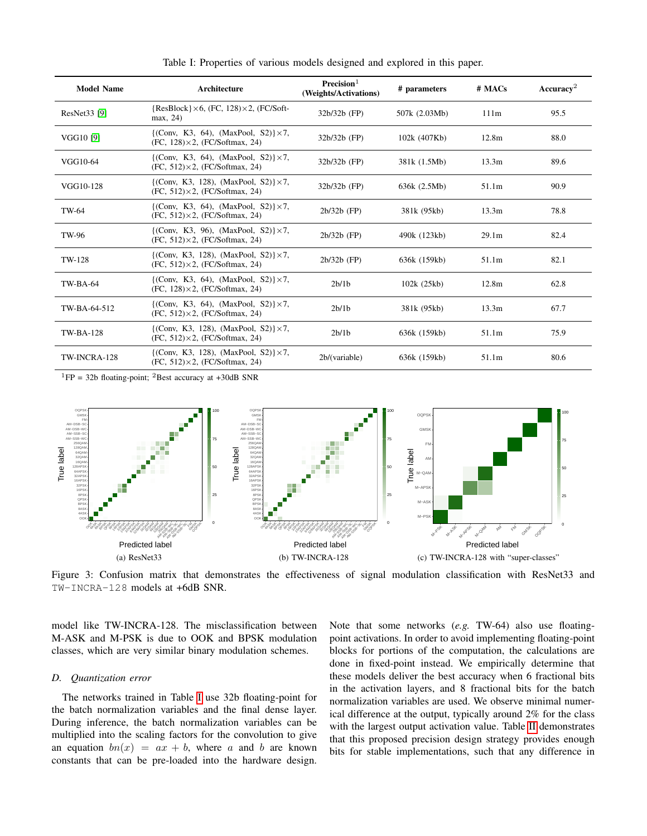<span id="page-3-0"></span>

| <b>Model Name</b> | Architecture                                                                                          | Precision <sup>1</sup><br>(Weights/Activations) | # parameters  | # MACs            | Accuracy <sup>2</sup> |
|-------------------|-------------------------------------------------------------------------------------------------------|-------------------------------------------------|---------------|-------------------|-----------------------|
| ResNet33 [9]      | $\{ResBlock\} \times 6$ , (FC, 128) $\times 2$ , (FC/Soft-<br>max, 24)                                | $32b/32b$ (FP)                                  | 507k (2.03Mb) | 111m              | 95.5                  |
| VGG10 [9]         | $\{({\rm Conv}, K3, 64), (MaxPool, S2)\}\times7,$<br>$(FC, 128) \times 2$ , $(FC/Softmax, 24)$        | $32b/32b$ (FP)                                  | 102k (407Kb)  | 12.8 <sub>m</sub> | 88.0                  |
| VGG10-64          | $\{({\rm Conv}, K3, 64), (MaxPool, S2)\}\times7,$<br>$(FC, 512) \times 2$ , $(FC/Softmax, 24)$        | $32b/32b$ (FP)                                  | 381k (1.5Mb)  | 13.3m             | 89.6                  |
| VGG10-128         | $\{({\rm Conv}, K3, 128), ({\rm MaxPool}, S2)\}\times7,$<br>$(FC, 512) \times 2$ , $(FC/Softmax, 24)$ | $32b/32b$ (FP)                                  | 636k (2.5Mb)  | 51.1m             | 90.9                  |
| TW-64             | $\{({\rm Conv}, K3, 64), (MaxPool, S2)\}\times7,$<br>$(FC, 512) \times 2$ , $(FC/Softmax, 24)$        | $2b/32b$ (FP)                                   | 381k (95kb)   | 13.3m             | 78.8                  |
| TW-96             | {(Conv, K3, 96), (MaxPool, S2)} $\times$ 7,<br>$(FC, 512) \times 2$ , $(FC/Softmax, 24)$              | $2b/32b$ (FP)                                   | 490k (123kb)  | 29.1 <sub>m</sub> | 82.4                  |
| TW-128            | {(Conv, K3, 128), (MaxPool, S2)} $\times$ 7,<br>$(FC, 512) \times 2$ , $(FC/Softmax, 24)$             | $2b/32b$ (FP)                                   | 636k (159kb)  | 51.1m             | 82.1                  |
| <b>TW-BA-64</b>   | $\{({\rm Conv}, K3, 64), (MaxPool, S2)\}\times7,$<br>$(FC, 128) \times 2$ , $(FC/Softmax, 24)$        | 2b/1b                                           | 102k (25kb)   | 12.8m             | 62.8                  |
| TW-BA-64-512      | $\{({\rm Conv}, K3, 64), (MaxPool, S2)\}\times7,$<br>$(FC, 512) \times 2$ , $(FC/Softmax, 24)$        | 2b/1b                                           | 381k (95kb)   | 13.3 <sub>m</sub> | 67.7                  |
| <b>TW-BA-128</b>  | {(Conv, K3, 128), (MaxPool, S2)} $\times$ 7,<br>$(FC, 512) \times 2$ , $(FC/Softmax, 24)$             | 2b/1b                                           | 636k (159kb)  | 51.1m             | 75.9                  |
| TW-INCRA-128      | $\{({\rm Conv}, K3, 128), (MaxPool, S2)\}\times7,$<br>$(FC, 512) \times 2$ , $(FC/Softmax, 24)$       | 2b/(variable)                                   | 636k (159kb)  | 51.1m             | 80.6                  |

Table I: Properties of various models designed and explored in this paper.

 ${}^{1}FP = 32b$  floating-point; <sup>2</sup>Best accuracy at +30dB SNR

<span id="page-3-2"></span><span id="page-3-1"></span>

Figure 3: Confusion matrix that demonstrates the effectiveness of signal modulation classification with ResNet33 and TW-INCRA-128 models at +6dB SNR.

model like TW-INCRA-128. The misclassification between M-ASK and M-PSK is due to OOK and BPSK modulation classes, which are very similar binary modulation schemes.

## *D. Quantization error*

The networks trained in Table [I](#page-3-0) use 32b floating-point for the batch normalization variables and the final dense layer. During inference, the batch normalization variables can be multiplied into the scaling factors for the convolution to give an equation  $bn(x) = ax + b$ , where a and b are known constants that can be pre-loaded into the hardware design.

<span id="page-3-4"></span><span id="page-3-3"></span>Note that some networks (*e.g.* TW-64) also use floatingpoint activations. In order to avoid implementing floating-point blocks for portions of the computation, the calculations are done in fixed-point instead. We empirically determine that these models deliver the best accuracy when 6 fractional bits in the activation layers, and 8 fractional bits for the batch normalization variables are used. We observe minimal numerical difference at the output, typically around 2% for the class with the largest output activation value. Table [II](#page-4-0) demonstrates that this proposed precision design strategy provides enough bits for stable implementations, such that any difference in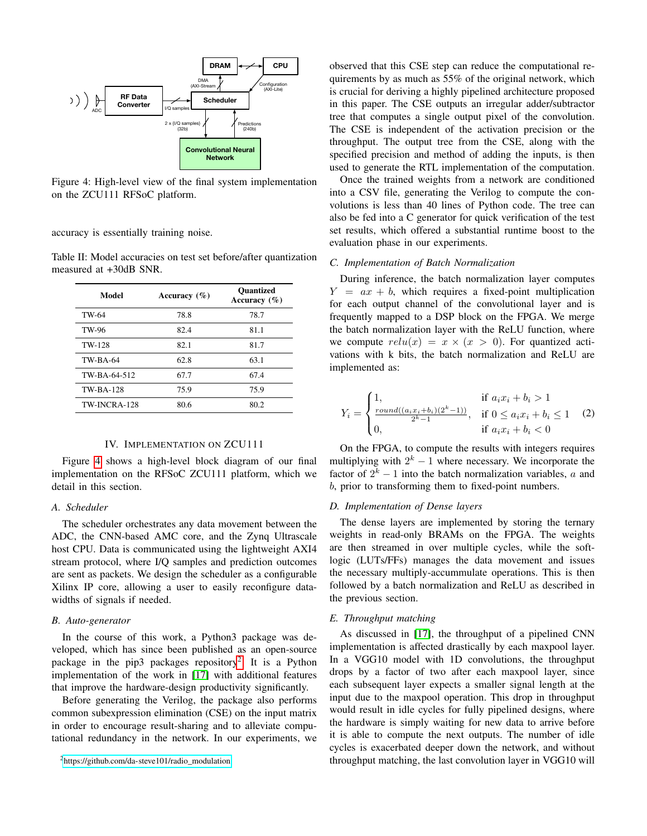<span id="page-4-1"></span>

Figure 4: High-level view of the final system implementation on the ZCU111 RFSoC platform.

accuracy is essentially training noise.

<span id="page-4-0"></span>Table II: Model accuracies on test set before/after quantization measured at +30dB SNR.

| Model            | Accuracy $(\% )$ | <b>Ouantized</b><br>Accuracy $(\% )$ |
|------------------|------------------|--------------------------------------|
| TW-64            | 78.8             | 78.7                                 |
| TW-96            | 82.4             | 81.1                                 |
| TW-128           | 82.1             | 81.7                                 |
| <b>TW-BA-64</b>  | 62.8             | 63.1                                 |
| TW-BA-64-512     | 67.7             | 67.4                                 |
| <b>TW-BA-128</b> | 75.9             | 75.9                                 |
| TW-INCRA-128     | 80.6             | 80.2                                 |

#### IV. IMPLEMENTATION ON ZCU111

Figure [4](#page-4-1) shows a high-level block diagram of our final implementation on the RFSoC ZCU111 platform, which we detail in this section.

## *A. Scheduler*

The scheduler orchestrates any data movement between the ADC, the CNN-based AMC core, and the Zynq Ultrascale host CPU. Data is communicated using the lightweight AXI4 stream protocol, where I/Q samples and prediction outcomes are sent as packets. We design the scheduler as a configurable Xilinx IP core, allowing a user to easily reconfigure datawidths of signals if needed.

## *B. Auto-generator*

In the course of this work, a Python3 package was developed, which has since been published as an open-source package in the pip3 packages repository<sup>[2](#page-4-2)</sup>. It is a Python implementation of the work in [\[17\]](#page-7-22) with additional features that improve the hardware-design productivity significantly.

Before generating the Verilog, the package also performs common subexpression elimination (CSE) on the input matrix in order to encourage result-sharing and to alleviate computational redundancy in the network. In our experiments, we

<span id="page-4-2"></span><sup>2</sup>[https://github.com/da-steve101/radio\\_modulation](https://github.com/da-steve101/radio_modulation)

observed that this CSE step can reduce the computational requirements by as much as 55% of the original network, which is crucial for deriving a highly pipelined architecture proposed in this paper. The CSE outputs an irregular adder/subtractor tree that computes a single output pixel of the convolution. The CSE is independent of the activation precision or the throughput. The output tree from the CSE, along with the specified precision and method of adding the inputs, is then used to generate the RTL implementation of the computation.

Once the trained weights from a network are conditioned into a CSV file, generating the Verilog to compute the convolutions is less than 40 lines of Python code. The tree can also be fed into a C generator for quick verification of the test set results, which offered a substantial runtime boost to the evaluation phase in our experiments.

# *C. Implementation of Batch Normalization*

During inference, the batch normalization layer computes  $Y = ax + b$ , which requires a fixed-point multiplication for each output channel of the convolutional layer and is frequently mapped to a DSP block on the FPGA. We merge the batch normalization layer with the ReLU function, where we compute  $relu(x) = x \times (x > 0)$ . For quantized activations with k bits, the batch normalization and ReLU are implemented as:

$$
Y_i = \begin{cases} 1, & \text{if } a_i x_i + b_i > 1 \\ \frac{round((a_i x_i + b_i)(2^k - 1))}{2^k - 1}, & \text{if } 0 \le a_i x_i + b_i \le 1 \\ 0, & \text{if } a_i x_i + b_i < 0 \end{cases}
$$
 (2)

On the FPGA, to compute the results with integers requires multiplying with  $2^k - 1$  where necessary. We incorporate the factor of  $2^k - 1$  into the batch normalization variables, a and b, prior to transforming them to fixed-point numbers.

#### *D. Implementation of Dense layers*

The dense layers are implemented by storing the ternary weights in read-only BRAMs on the FPGA. The weights are then streamed in over multiple cycles, while the softlogic (LUTs/FFs) manages the data movement and issues the necessary multiply-accummulate operations. This is then followed by a batch normalization and ReLU as described in the previous section.

## <span id="page-4-3"></span>*E. Throughput matching*

As discussed in [\[17\]](#page-7-22), the throughput of a pipelined CNN implementation is affected drastically by each maxpool layer. In a VGG10 model with 1D convolutions, the throughput drops by a factor of two after each maxpool layer, since each subsequent layer expects a smaller signal length at the input due to the maxpool operation. This drop in throughput would result in idle cycles for fully pipelined designs, where the hardware is simply waiting for new data to arrive before it is able to compute the next outputs. The number of idle cycles is exacerbated deeper down the network, and without throughput matching, the last convolution layer in VGG10 will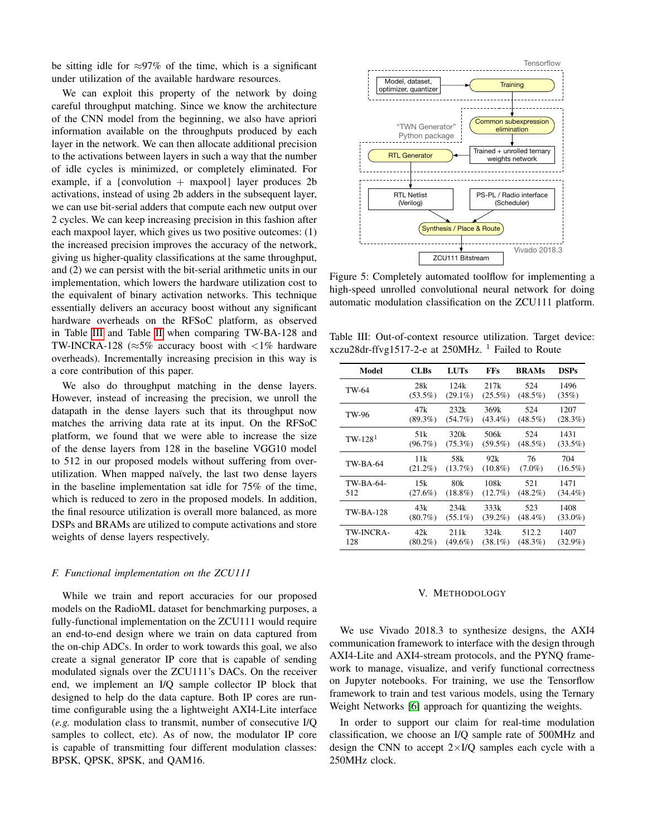be sitting idle for  $\approx 97\%$  of the time, which is a significant under utilization of the available hardware resources.

We can exploit this property of the network by doing careful throughput matching. Since we know the architecture of the CNN model from the beginning, we also have apriori information available on the throughputs produced by each layer in the network. We can then allocate additional precision to the activations between layers in such a way that the number of idle cycles is minimized, or completely eliminated. For example, if a {convolution  $+$  maxpool} layer produces 2b activations, instead of using 2b adders in the subsequent layer, we can use bit-serial adders that compute each new output over 2 cycles. We can keep increasing precision in this fashion after each maxpool layer, which gives us two positive outcomes: (1) the increased precision improves the accuracy of the network, giving us higher-quality classifications at the same throughput, and (2) we can persist with the bit-serial arithmetic units in our implementation, which lowers the hardware utilization cost to the equivalent of binary activation networks. This technique essentially delivers an accuracy boost without any significant hardware overheads on the RFSoC platform, as observed in Table [III](#page-5-0) and Table [II](#page-4-0) when comparing TW-BA-128 and TW-INCRA-128 ( $\approx$ 5% accuracy boost with <1% hardware overheads). Incrementally increasing precision in this way is a core contribution of this paper.

We also do throughput matching in the dense layers. However, instead of increasing the precision, we unroll the datapath in the dense layers such that its throughput now matches the arriving data rate at its input. On the RFSoC platform, we found that we were able to increase the size of the dense layers from 128 in the baseline VGG10 model to 512 in our proposed models without suffering from overutilization. When mapped naïvely, the last two dense layers in the baseline implementation sat idle for 75% of the time, which is reduced to zero in the proposed models. In addition, the final resource utilization is overall more balanced, as more DSPs and BRAMs are utilized to compute activations and store weights of dense layers respectively.

#### *F. Functional implementation on the ZCU111*

While we train and report accuracies for our proposed models on the RadioML dataset for benchmarking purposes, a fully-functional implementation on the ZCU111 would require an end-to-end design where we train on data captured from the on-chip ADCs. In order to work towards this goal, we also create a signal generator IP core that is capable of sending modulated signals over the ZCU111's DACs. On the receiver end, we implement an I/Q sample collector IP block that designed to help do the data capture. Both IP cores are runtime configurable using the a lightweight AXI4-Lite interface (*e.g.* modulation class to transmit, number of consecutive I/Q samples to collect, etc). As of now, the modulator IP core is capable of transmitting four different modulation classes: BPSK, QPSK, 8PSK, and QAM16.



Figure 5: Completely automated toolflow for implementing a high-speed unrolled convolutional neural network for doing automatic modulation classification on the ZCU111 platform.

<span id="page-5-0"></span>Table III: Out-of-context resource utilization. Target device: xczu28dr-ffvg1517-2-e at  $250MHz$ . <sup>1</sup> Failed to Route

| Model            | <b>CLBs</b> | <b>LUTs</b> | <b>FFs</b> | <b>BRAMs</b> | <b>DSPs</b> |
|------------------|-------------|-------------|------------|--------------|-------------|
| TW-64            | 28k         | 124k        | 217k       | 524          | 1496        |
|                  | $(53.5\%)$  | $(29.1\%)$  | $(25.5\%)$ | $(48.5\%)$   | (35%)       |
| TW-96            | 47k         | 232k        | 369k       | 524          | 1207        |
|                  | $(89.3\%)$  | $(54.7\%)$  | $(43.4\%)$ | $(48.5\%)$   | (28.3%)     |
| $TW-1281$        | 51 k        | 320k        | 506k       | 524          | 1431        |
|                  | (96.7%)     | $(75.3\%)$  | $(59.5\%)$ | $(48.5\%)$   | $(33.5\%)$  |
| TW-BA-64         | 11k         | 58k         | 92k        | 76           | 704         |
|                  | $(21.2\%)$  | $(13.7\%)$  | $(10.8\%)$ | $(7.0\%)$    | $(16.5\%)$  |
| TW-BA-64-        | 15k         | 80k         | 108k       | 521          | 1471        |
| 512              | $(27.6\%)$  | $(18.8\%)$  | $(12.7\%)$ | $(48.2\%)$   | $(34.4\%)$  |
| <b>TW-BA-128</b> | 43k         | 234k        | 333k       | 523          | 1408        |
|                  | $(80.7\%)$  | $(55.1\%)$  | $(39.2\%)$ | $(48.4\%)$   | $(33.0\%)$  |
| TW-INCRA-        | 42k         | 211k        | 324k       | 512.2        | 1407        |
| 128              | $(80.2\%)$  | $(49.6\%)$  | $(38.1\%)$ | $(48.3\%)$   | $(32.9\%)$  |

#### V. METHODOLOGY

We use Vivado 2018.3 to synthesize designs, the AXI4 communication framework to interface with the design through AXI4-Lite and AXI4-stream protocols, and the PYNQ framework to manage, visualize, and verify functional correctness on Jupyter notebooks. For training, we use the Tensorflow framework to train and test various models, using the Ternary Weight Networks [\[6\]](#page-7-12) approach for quantizing the weights.

In order to support our claim for real-time modulation classification, we choose an I/Q sample rate of 500MHz and design the CNN to accept  $2\times I/Q$  samples each cycle with a 250MHz clock.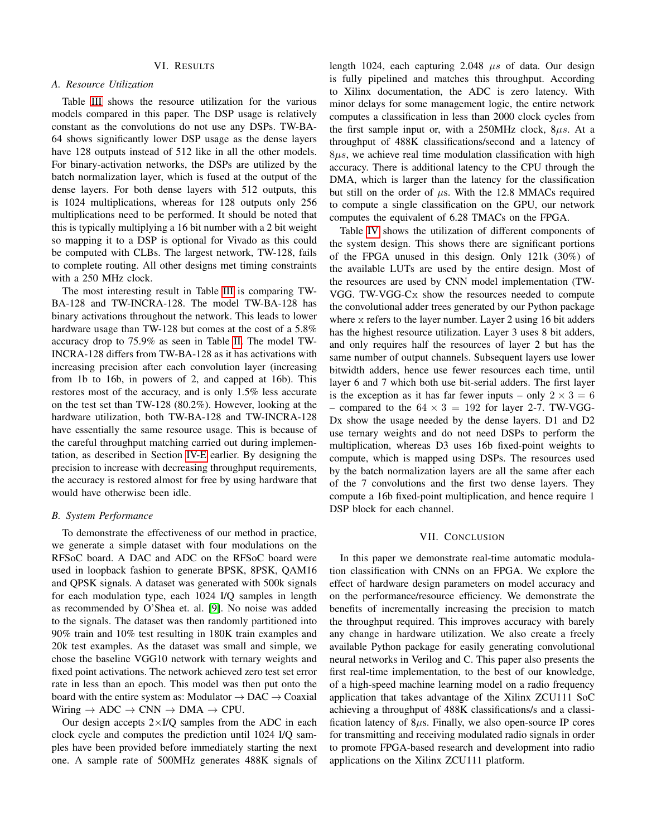#### VI. RESULTS

## *A. Resource Utilization*

Table [III](#page-5-0) shows the resource utilization for the various models compared in this paper. The DSP usage is relatively constant as the convolutions do not use any DSPs. TW-BA-64 shows significantly lower DSP usage as the dense layers have 128 outputs instead of 512 like in all the other models. For binary-activation networks, the DSPs are utilized by the batch normalization layer, which is fused at the output of the dense layers. For both dense layers with 512 outputs, this is 1024 multiplications, whereas for 128 outputs only 256 multiplications need to be performed. It should be noted that this is typically multiplying a 16 bit number with a 2 bit weight so mapping it to a DSP is optional for Vivado as this could be computed with CLBs. The largest network, TW-128, fails to complete routing. All other designs met timing constraints with a 250 MHz clock.

The most interesting result in Table [III](#page-5-0) is comparing TW-BA-128 and TW-INCRA-128. The model TW-BA-128 has binary activations throughout the network. This leads to lower hardware usage than TW-128 but comes at the cost of a 5.8% accuracy drop to 75.9% as seen in Table [II.](#page-4-0) The model TW-INCRA-128 differs from TW-BA-128 as it has activations with increasing precision after each convolution layer (increasing from 1b to 16b, in powers of 2, and capped at 16b). This restores most of the accuracy, and is only 1.5% less accurate on the test set than TW-128 (80.2%). However, looking at the hardware utilization, both TW-BA-128 and TW-INCRA-128 have essentially the same resource usage. This is because of the careful throughput matching carried out during implementation, as described in Section [IV-E](#page-4-3) earlier. By designing the precision to increase with decreasing throughput requirements, the accuracy is restored almost for free by using hardware that would have otherwise been idle.

## *B. System Performance*

To demonstrate the effectiveness of our method in practice, we generate a simple dataset with four modulations on the RFSoC board. A DAC and ADC on the RFSoC board were used in loopback fashion to generate BPSK, 8PSK, QAM16 and QPSK signals. A dataset was generated with 500k signals for each modulation type, each 1024 I/Q samples in length as recommended by O'Shea et. al. [\[9\]](#page-7-0). No noise was added to the signals. The dataset was then randomly partitioned into 90% train and 10% test resulting in 180K train examples and 20k test examples. As the dataset was small and simple, we chose the baseline VGG10 network with ternary weights and fixed point activations. The network achieved zero test set error rate in less than an epoch. This model was then put onto the board with the entire system as: Modulator  $\rightarrow$  DAC  $\rightarrow$  Coaxial Wiring  $\rightarrow ADC \rightarrow CNN \rightarrow DMA \rightarrow CPU$ .

Our design accepts  $2\times I/Q$  samples from the ADC in each clock cycle and computes the prediction until 1024 I/Q samples have been provided before immediately starting the next one. A sample rate of 500MHz generates 488K signals of length 1024, each capturing 2.048  $\mu s$  of data. Our design is fully pipelined and matches this throughput. According to Xilinx documentation, the ADC is zero latency. With minor delays for some management logic, the entire network computes a classification in less than 2000 clock cycles from the first sample input or, with a  $250MHz$  clock,  $8\mu s$ . At a throughput of 488K classifications/second and a latency of  $8\mu s$ , we achieve real time modulation classification with high accuracy. There is additional latency to the CPU through the DMA, which is larger than the latency for the classification but still on the order of  $\mu$ s. With the 12.8 MMACs required to compute a single classification on the GPU, our network computes the equivalent of 6.28 TMACs on the FPGA.

Table [IV](#page-7-23) shows the utilization of different components of the system design. This shows there are significant portions of the FPGA unused in this design. Only 121k (30%) of the available LUTs are used by the entire design. Most of the resources are used by CNN model implementation (TW-VGG. TW-VGG-Cx show the resources needed to compute the convolutional adder trees generated by our Python package where x refers to the layer number. Layer 2 using 16 bit adders has the highest resource utilization. Layer 3 uses 8 bit adders, and only requires half the resources of layer 2 but has the same number of output channels. Subsequent layers use lower bitwidth adders, hence use fewer resources each time, until layer 6 and 7 which both use bit-serial adders. The first layer is the exception as it has far fewer inputs – only  $2 \times 3 = 6$ – compared to the  $64 \times 3 = 192$  for layer 2-7. TW-VGG-Dx show the usage needed by the dense layers. D1 and D2 use ternary weights and do not need DSPs to perform the multiplication, whereas D3 uses 16b fixed-point weights to compute, which is mapped using DSPs. The resources used by the batch normalization layers are all the same after each of the 7 convolutions and the first two dense layers. They compute a 16b fixed-point multiplication, and hence require 1 DSP block for each channel.

#### VII. CONCLUSION

In this paper we demonstrate real-time automatic modulation classification with CNNs on an FPGA. We explore the effect of hardware design parameters on model accuracy and on the performance/resource efficiency. We demonstrate the benefits of incrementally increasing the precision to match the throughput required. This improves accuracy with barely any change in hardware utilization. We also create a freely available Python package for easily generating convolutional neural networks in Verilog and C. This paper also presents the first real-time implementation, to the best of our knowledge, of a high-speed machine learning model on a radio frequency application that takes advantage of the Xilinx ZCU111 SoC achieving a throughput of 488K classifications/s and a classification latency of  $8\mu s$ . Finally, we also open-source IP cores for transmitting and receiving modulated radio signals in order to promote FPGA-based research and development into radio applications on the Xilinx ZCU111 platform.